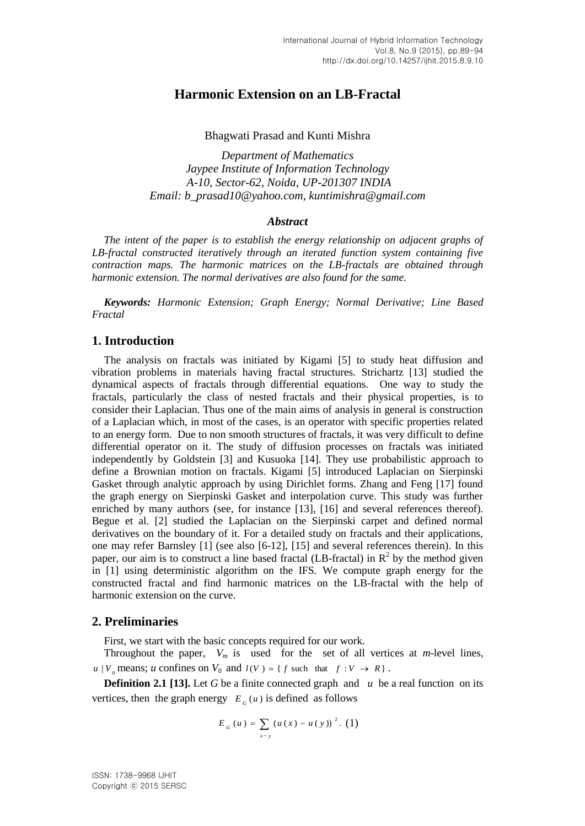# **Harmonic Extension on an LB-Fractal**

Bhagwati Prasad and Kunti Mishra

*Department of Mathematics Jaypee Institute of Information Technology A-10, Sector-62, Noida, UP-201307 INDIA Email: [b\\_prasad10@yahoo.com,](mailto:b_prasad10@yahoo.com) kuntimishra@gmail.com*

#### *Abstract*

*The intent of the paper is to establish the energy relationship on adjacent graphs of LB-fractal constructed iteratively through an iterated function system containing five contraction maps. The harmonic matrices on the LB-fractals are obtained through harmonic extension. The normal derivatives are also found for the same.* 

*Keywords: Harmonic Extension; Graph Energy; Normal Derivative; Line Based Fractal*

# **1. Introduction**

The analysis on fractals was initiated by Kigami [5] to study heat diffusion and vibration problems in materials having fractal structures. Strichartz [13] studied the dynamical aspects of fractals through differential equations. One way to study the fractals, particularly the class of nested fractals and their physical properties, is to consider their Laplacian. Thus one of the main aims of analysis in general is construction of a Laplacian which, in most of the cases, is an operator with specific properties related to an energy form. Due to non smooth structures of fractals, it was very difficult to define differential operator on it. The study of diffusion processes on fractals was initiated independently by Goldstein [3] and Kusuoka [14]. They use probabilistic approach to define a Brownian motion on fractals. Kigami [5] introduced Laplacian on Sierpinski Gasket through analytic approach by using Dirichlet forms. Zhang and Feng [17] found the graph energy on Sierpinski Gasket and interpolation curve. This study was further enriched by many authors (see, for instance [13], [16] and several references thereof). Begue et al. [2] studied the Laplacian on the Sierpinski carpet and defined normal derivatives on the boundary of it. For a detailed study on fractals and their applications, one may refer Barnsley [1] (see also [6-12], [15] and several references therein). In this paper, our aim is to construct a line based fractal (LB-fractal) in  $\mathbb{R}^2$  by the method given in [1] using deterministic algorithm on the IFS. We compute graph energy for the constructed fractal and find harmonic matrices on the LB-fractal with the help of harmonic extension on the curve.

## **2. Preliminaries**

First, we start with the basic concepts required for our work.

Throughout the paper,  $V_m$  is used for the set of all vertices at *m*-level lines,  $u \mid V_0$  means; *u* confines on  $V_0$  and  $l(V) = \{ f \text{ such that } f : V \to R \}$ .

**Definition 2.1 [13].** Let *G* be a finite connected graph and *u* be a real function on its vertices, then the graph energy  $E_G(u)$  is defined as follows

$$
E_{G}(u) = \sum_{x \sim y} (u(x) - u(y))^{2}. (1)
$$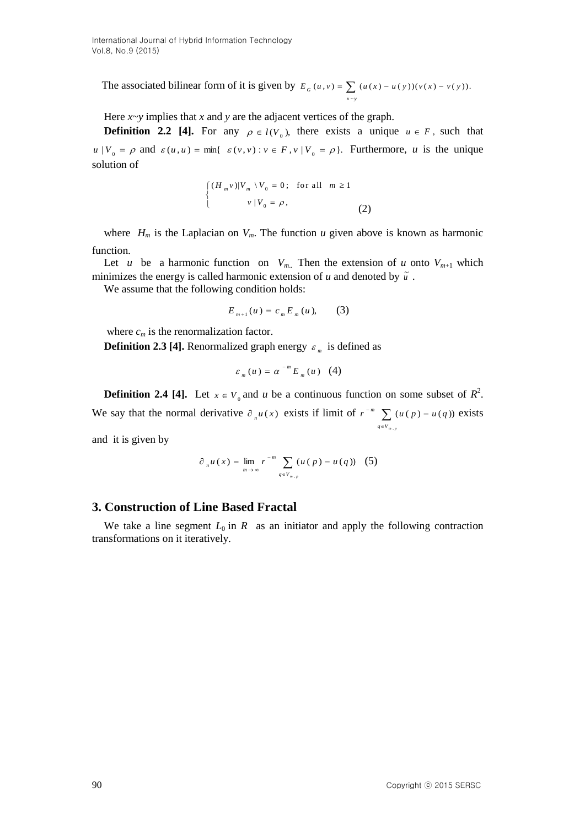The associated bilinear form of it is given by ~  $G(u, v) = \sum (u(x) - u(y))(v(x) - v(y)).$  $\frac{2}{x-y}$  $E_G(u, v) = \sum (u(x) - u(y))(v(x) - v(y))$ 

Here  $x \sim y$  implies that *x* and *y* are the adjacent vertices of the graph.

**Definition 2.2 [4].** For any  $\rho \in l(V_0)$ , there exists a unique  $u \in F$ , such that  $u \mid V_0 = \rho$  and  $\varepsilon(u, u) = \min\{\varepsilon(v, v) : v \in F, v \mid V_0 = \rho\}$ . Furthermore, *u* is the unique solution of

$$
\begin{cases}\n(H_m v)|V_m \setminus V_0 = 0; & \text{for all } m \ge 1 \\
v | V_0 = \rho,\n\end{cases}
$$
\n(2)

where  $H_m$  is the Laplacian on  $V_m$ . The function *u* given above is known as harmonic function.

Let *u* be a harmonic function on  $V_{m}$ . Then the extension of *u* onto  $V_{m+1}$  which minimizes the energy is called harmonic extension of  $u$  and denoted by  $\tilde{u}$ .

We assume that the following condition holds:

$$
E_{m+1}(u) = c_m E_m(u), \qquad (3)
$$

where  $c_m$  is the renormalization factor.

**Definition 2.3 [4].** Renormalized graph energy  $\varepsilon_m$  is defined as

$$
\varepsilon_{_m}\left(u\,\right)=\alpha^{\,-\,m}\,E_{_m}\left(u\,\right)\;\;\left(4\right)
$$

**Definition 2.4 [4].** Let  $x \in V_0$  and *u* be a continuous function on some subset of  $R^2$ . We say that the normal derivative  $\partial_{n}u(x)$  exists if limit of  $r^{-m}\sum_{q\in V_m}$  $\overline{y}$   $\overline{y}$   $(u(p)$  $q \in V_{m, p}$  $r^{-m}$   $\sum_{n=0}^{\infty}$   $(u(p) - u(q))$ ,  $(u(p) - u(q))$  exists

and it is given by

$$
\partial_{n} u(x) = \lim_{m \to \infty} r^{-m} \sum_{q \in V_{m,p}} (u(p) - u(q)) \quad (5)
$$

## **3. Construction of Line Based Fractal**

We take a line segment  $L_0$  in  $R$  as an initiator and apply the following contraction transformations on it iteratively.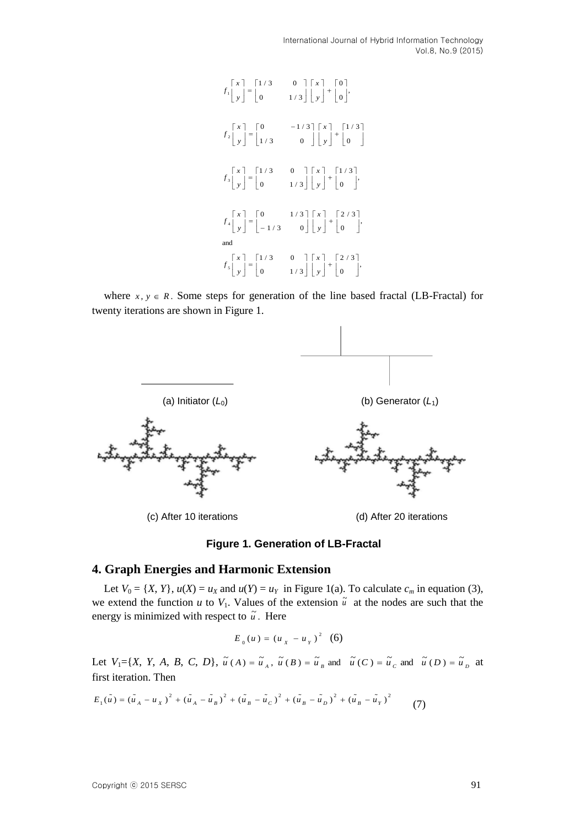International Journal of Hybrid Information Technology Vol.8, No.9 (2015)



where  $x, y \in R$ . Some steps for generation of the line based fractal (LB-Fractal) for twenty iterations are shown in Figure 1.



(c) After 10 iterations (d) After 20 iterations

#### **Figure 1. Generation of LB-Fractal**

## **4. Graph Energies and Harmonic Extension**

Let  $V_0 = \{X, Y\}$ ,  $u(X) = u_X$  and  $u(Y) = u_Y$  in Figure 1(a). To calculate  $c_m$  in equation (3), we extend the function  $u$  to  $V_1$ . Values of the extension  $\tilde{u}$  at the nodes are such that the energy is minimized with respect to  $\tilde{u}$ . Here

$$
E_0(u) = (u_x - u_y)^2
$$
 (6)

Let  $V_1 = \{X, Y, A, B, C, D\}$ ,  $\tilde{u}(A) = \tilde{u}_A$ ,  $\tilde{u}(B) = \tilde{u}_B$  and  $\tilde{u}(C) = \tilde{u}_C$  and  $\tilde{u}(D) = \tilde{u}_D$  at first iteration. Then

first iteration. Then  
\n
$$
E_1(\tilde{u}) = (\tilde{u}_A - u_X)^2 + (\tilde{u}_A - \tilde{u}_B)^2 + (\tilde{u}_B - \tilde{u}_C)^2 + (\tilde{u}_B - \tilde{u}_D)^2 + (\tilde{u}_B - \tilde{u}_Y)^2
$$
\n(7)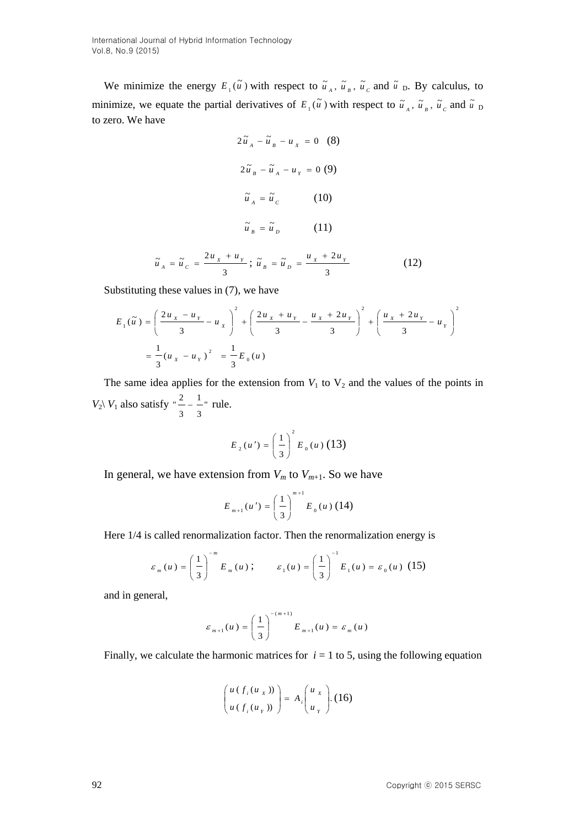We minimize the energy  $E_i(\tilde{u})$  with respect to  $\tilde{u}_A$ ,  $\tilde{u}_B$ ,  $\tilde{u}_C$  and  $\tilde{u}_D$ . By calculus, to minimize, we equate the partial derivatives of  $E_1(\tilde{u})$  with respect to  $\tilde{u}_A$ ,  $\tilde{u}_B$ ,  $\tilde{u}_C$  and  $\tilde{u}_D$ to zero. We have

$$
2\tilde{u}_A - \tilde{u}_B - u_x = 0
$$
 (8)  

$$
2\tilde{u}_B - \tilde{u}_A - u_y = 0
$$
 (9)  

$$
\tilde{u}_A = \tilde{u}_C
$$
 (10)  

$$
\tilde{u}_B = \tilde{u}_D
$$
 (11)  

$$
\tilde{u}_A = \tilde{u}_C = \frac{2u_x + u_y}{3}; \tilde{u}_B = \tilde{u}_D = \frac{u_x + 2u_y}{3}
$$
 (12)

Substituting these values in (7), we have

$$
E_1(\tilde{u}) = \left(\frac{2u_x - u_y}{3} - u_x\right)^2 + \left(\frac{2u_x + u_y}{3} - \frac{u_x + 2u_y}{3}\right)^2 + \left(\frac{u_x + 2u_y}{3} - u_y\right)^2
$$
  
=  $\frac{1}{3}(u_x - u_y)^2 = \frac{1}{3}E_0(u)$ 

The same idea applies for the extension from  $V_1$  to  $V_2$  and the values of the points in  $V_2$   $V_1$  also satisfy "  $\tilde{\phantom{0}}$  –  $\tilde{\phantom{0}}$  – 3 1 3 " $\frac{2}{1} - \frac{1}{1}$ " rule.

$$
E_2(u') = \left(\frac{1}{3}\right)^2 E_0(u) (13)
$$

In general, we have extension from  $V_m$  to  $V_{m+1}$ . So we have

$$
E_{m+1}(u') = \left(\frac{1}{3}\right)^{m+1} E_0(u) (14)
$$

Here 1/4 is called renormalization factor. Then the renormalization energy is

$$
\varepsilon_m(u) = \left(\frac{1}{3}\right)^{-m} E_m(u); \qquad \varepsilon_1(u) = \left(\frac{1}{3}\right)^{-1} E_1(u) = \varepsilon_0(u)
$$
 (15)

and in general,

$$
\varepsilon_{_{m+1}}(u) = \left(\frac{1}{3}\right)^{-(m+1)} E_{_{m+1}}(u) = \varepsilon_{_m}(u)
$$

Finally, we calculate the harmonic matrices for  $i = 1$  to 5, using the following equation

$$
\begin{pmatrix} u(f_i(u_x)) \\ u(f_i(u_y)) \end{pmatrix} = A_i \begin{pmatrix} u_x \\ u_y \end{pmatrix} . (16)
$$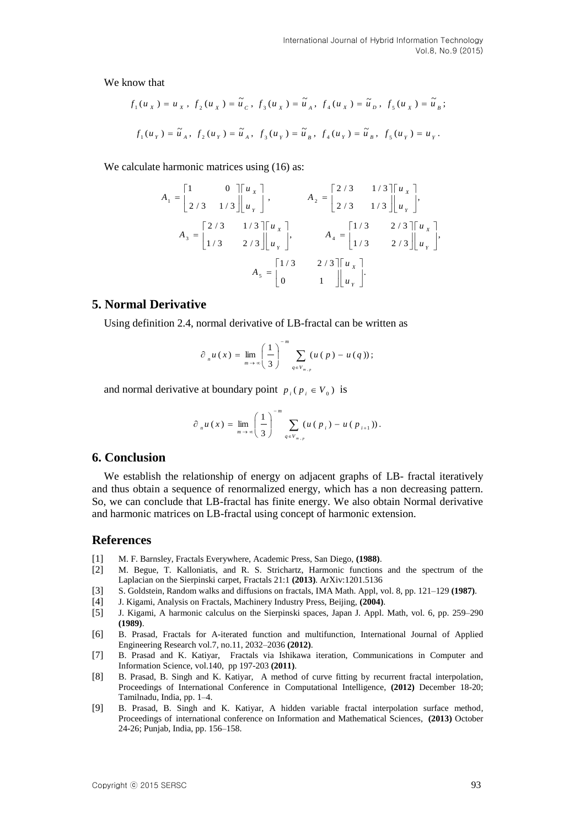We know that

$$
f_1(u_x) = u_x, f_2(u_x) = \tilde{u}_c, f_3(u_x) = \tilde{u}_A, f_4(u_x) = \tilde{u}_b, f_5(u_x) = \tilde{u}_B;
$$
  

$$
f_1(u_y) = \tilde{u}_A, f_2(u_y) = \tilde{u}_A, f_3(u_y) = \tilde{u}_B, f_4(u_y) = \tilde{u}_B, f_5(u_y) = u_y.
$$

We calculate harmonic matrices using  $(16)$  as:

$$
A_1 = \begin{bmatrix} 1 & 0 \\ 2/3 & 1/3 \end{bmatrix} \begin{bmatrix} u_x \\ u_y \end{bmatrix}, \qquad A_2 = \begin{bmatrix} 2/3 & 1/3 \\ 2/3 & 1/3 \end{bmatrix} \begin{bmatrix} u_x \\ u_y \end{bmatrix},
$$
  

$$
A_3 = \begin{bmatrix} 2/3 & 1/3 \\ 1/3 & 2/3 \end{bmatrix} \begin{bmatrix} u_x \\ u_y \end{bmatrix}, \qquad A_4 = \begin{bmatrix} 1/3 & 2/3 \\ 1/3 & 2/3 \end{bmatrix} \begin{bmatrix} u_x \\ u_y \end{bmatrix},
$$
  

$$
A_5 = \begin{bmatrix} 1/3 & 2/3 \\ 0 & 1 \end{bmatrix} \begin{bmatrix} u_x \\ u_y \end{bmatrix}.
$$

## **5. Normal Derivative**

Using definition 2.4, normal derivative of LB-fractal can be written as

$$
\partial_{n}u(x) = \lim_{m \to \infty} \left(\frac{1}{3}\right)^{-m} \sum_{q \in V_{m,p}} (u(p) - u(q));
$$

and normal derivative at boundary point  $p_i$  ( $p_i \in V_0$ ) is

$$
\partial_{n} u(x) = \lim_{m \to \infty} \left(\frac{1}{3}\right)^{-m} \sum_{q \in V_{m,p}} (u(p_{i}) - u(p_{i+1})).
$$

## **6. Conclusion**

We establish the relationship of energy on adjacent graphs of LB- fractal iteratively and thus obtain a sequence of renormalized energy, which has a non decreasing pattern. So, we can conclude that LB-fractal has finite energy. We also obtain Normal derivative and harmonic matrices on LB-fractal using concept of harmonic extension.

## **References**

- [1] M. F. Barnsley, Fractals Everywhere, Academic Press, San Diego, **(1988)**.
- [2] M. Begue, T. Kalloniatis, and R. S. Strichartz, Harmonic functions and the spectrum of the Laplacian on the Sierpinski carpet, Fractals 21:1 **(2013)**. [ArXiv:1201.5136](http://arxiv.org/abs/1201.5136)
- [3] S. Goldstein, Random walks and diffusions on fractals, IMA Math. Appl, vol. 8, pp. 121–129 **(1987)**.
- [4] J. Kigami, Analysis on Fractals, Machinery Industry Press, Beijing, **(2004)**.
- [5] J. Kigami, A harmonic calculus on the Sierpinski spaces, Japan J. Appl. Math, vol. 6, pp. 259–290 **(1989)**.
- [6] B. Prasad, Fractals for A-iterated function and multifunction, International Journal of Applied Engineering Research vol.7, no.11, 2032–2036 **(2012)**.
- [7] B. Prasad and K. Katiyar, Fractals via Ishikawa iteration, Communications in Computer and Information Science, vol.140, pp 197-203 **(2011)**.
- [8] B. Prasad, B. Singh and K. Katiyar, A method of curve fitting by recurrent fractal interpolation, Proceedings of International Conference in Computational Intelligence, **(2012)** December 18-20; Tamilnadu, India, pp. 1–4.
- [9] B. Prasad, B. Singh and K. Katiyar, A hidden variable fractal interpolation surface method, Proceedings of international conference on Information and Mathematical Sciences, **(2013)** October 24-26; Punjab, India, pp. 156–158.